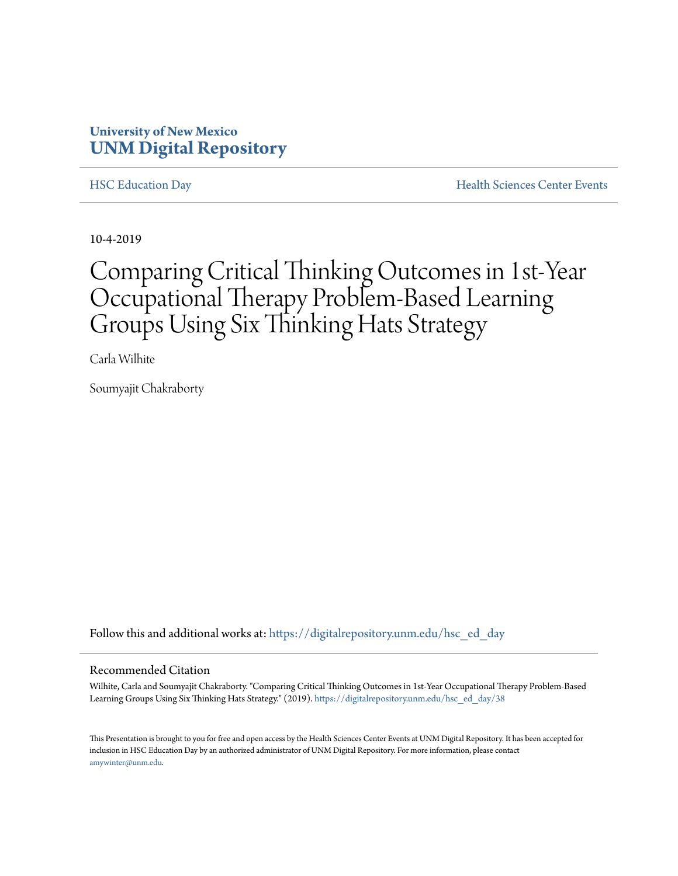#### **University of New Mexico [UNM Digital Repository](https://digitalrepository.unm.edu/?utm_source=digitalrepository.unm.edu%2Fhsc_ed_day%2F38&utm_medium=PDF&utm_campaign=PDFCoverPages)**

[HSC Education Day](https://digitalrepository.unm.edu/hsc_ed_day?utm_source=digitalrepository.unm.edu%2Fhsc_ed_day%2F38&utm_medium=PDF&utm_campaign=PDFCoverPages) [Health Sciences Center Events](https://digitalrepository.unm.edu/hsc_events?utm_source=digitalrepository.unm.edu%2Fhsc_ed_day%2F38&utm_medium=PDF&utm_campaign=PDFCoverPages)

10-4-2019

#### Comparing Critical Thinking Outcomes in 1st-Year Occupational Therapy Problem-Based Learning Groups Using Six Thinking Hats Strategy

Carla Wilhite

Soumyajit Chakraborty

Follow this and additional works at: [https://digitalrepository.unm.edu/hsc\\_ed\\_day](https://digitalrepository.unm.edu/hsc_ed_day?utm_source=digitalrepository.unm.edu%2Fhsc_ed_day%2F38&utm_medium=PDF&utm_campaign=PDFCoverPages)

#### Recommended Citation

Wilhite, Carla and Soumyajit Chakraborty. "Comparing Critical Thinking Outcomes in 1st-Year Occupational Therapy Problem-Based Learning Groups Using Six Thinking Hats Strategy." (2019). [https://digitalrepository.unm.edu/hsc\\_ed\\_day/38](https://digitalrepository.unm.edu/hsc_ed_day/38?utm_source=digitalrepository.unm.edu%2Fhsc_ed_day%2F38&utm_medium=PDF&utm_campaign=PDFCoverPages)

This Presentation is brought to you for free and open access by the Health Sciences Center Events at UNM Digital Repository. It has been accepted for inclusion in HSC Education Day by an authorized administrator of UNM Digital Repository. For more information, please contact [amywinter@unm.edu](mailto:amywinter@unm.edu).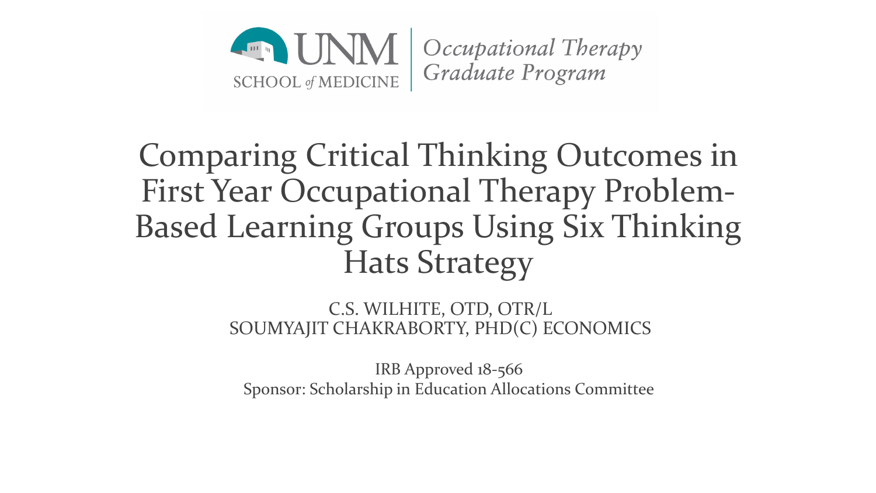

# Comparing Critical Thinking Outcomes in First Year Occupational Therapy Problem-Based Learning Groups Using Six Thinking Hats Strategy

C.S. WILHITE, OTD, OTR/L SOUMYAJIT CHAKRABORTY, PHD(C) ECONOMICS

IRB Approved 18-566 Sponsor: Scholarship in Education Allocations Committee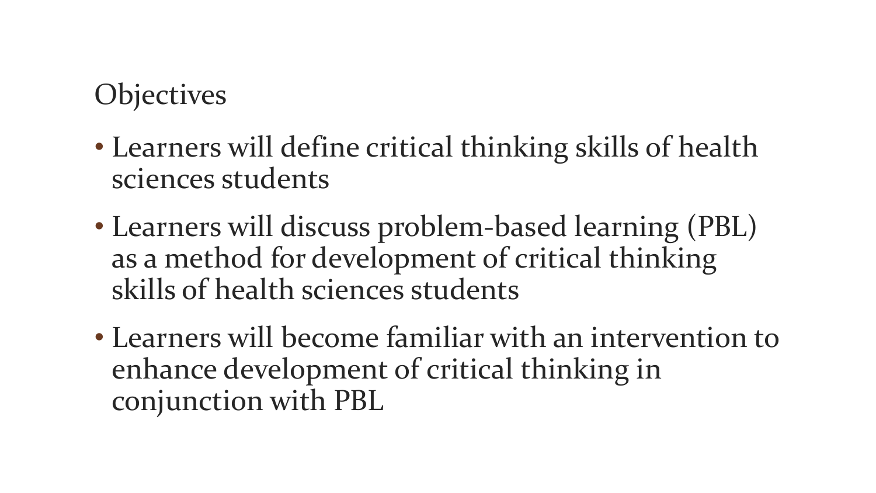## **Objectives**

- Learners will define critical thinking skills of health sciences students
- Learners will discuss problem-based learning (PBL) as a method for development of critical thinking skills of health sciences students
- Learners will become familiar with an intervention to enhance development of critical thinking in conjunction with PBL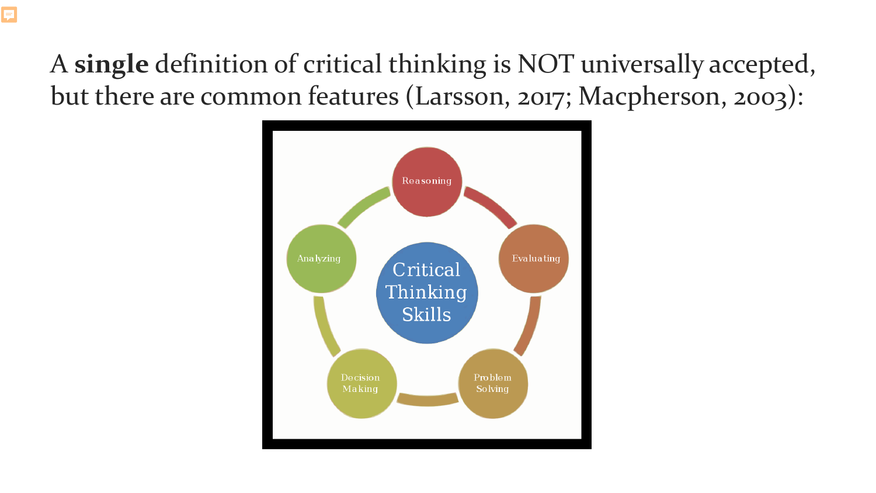## A **single** definition of critical thinking is NOT universally accepted, but there are common features (Larsson, 2017; Macpherson, 2003):



Ę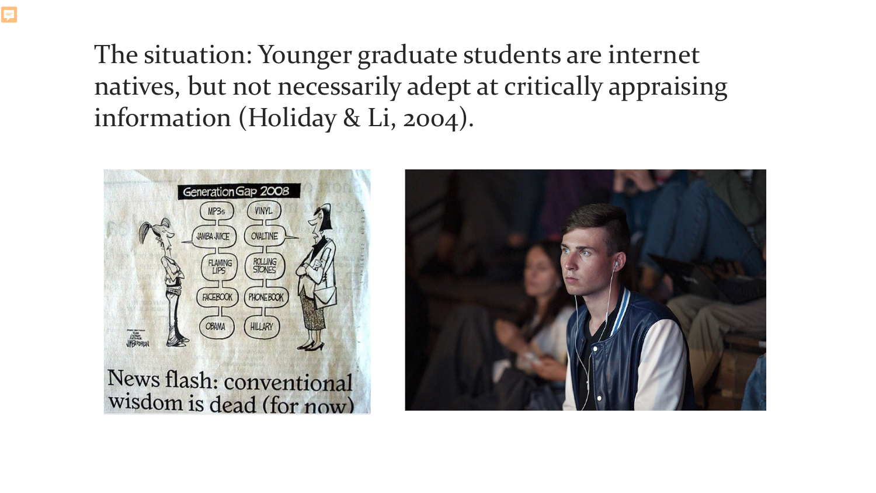## The situation: Younger graduate students are internet natives, but not necessarily adept at critically appraising information (Holiday & Li, 2004).



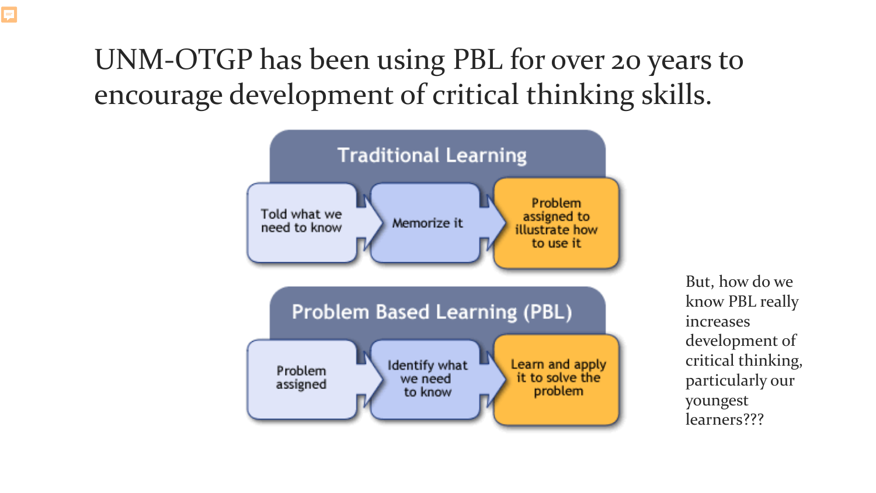# UNM-OTGP has been using PBL for over 20 years to encourage development of critical thinking skills.



But, how do we know PBL really increases development of critical thinking, particularly our youngest learners???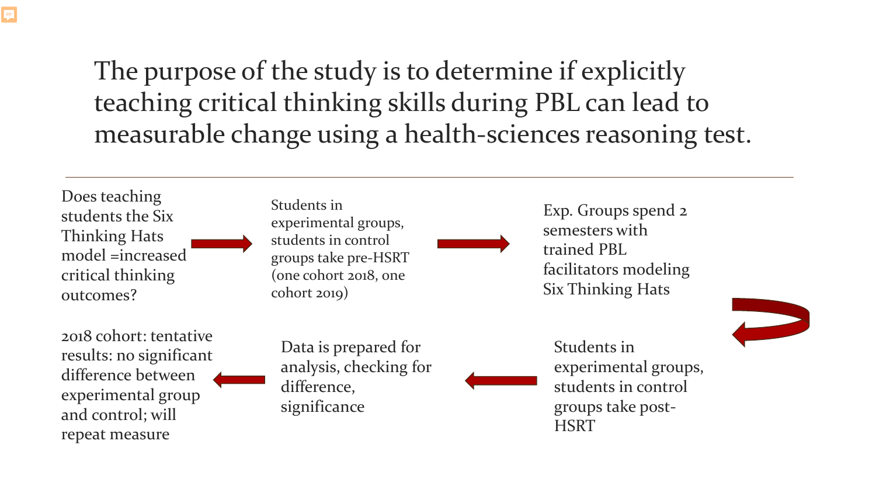The purpose of the study is to determine if explicitly teaching critical thinking skills during PBL can lead to measurable change using a health-sciences reasoning test.

Does teaching students the Six Thinking Hats model =increased critical thinking outcomes?

**F** 

2018 cohort: tentative results: no significant difference between experimental group and control; will repeat measure

Students in experimental groups, students in control groups take pre-HSRT (one cohort 2018, one cohort 2019)

Exp. Groups spend 2 semesters with trained PBL facilitators modeling Six Thinking Hats

Data is prepared for analysis, checking for difference, significance

Students in experimental groups, students in control groups take post-**HSRT**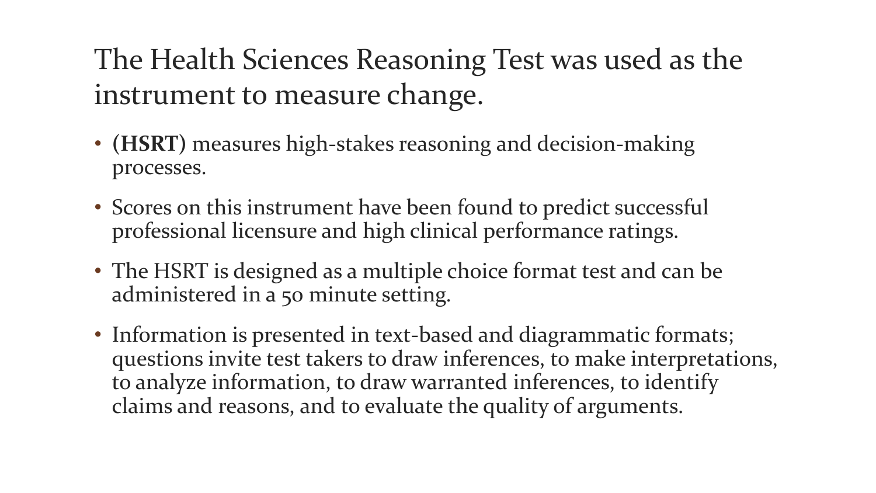# The Health Sciences Reasoning Test was used as the instrument to measure change.

- **(HSRT)** measures high-stakes reasoning and decision-making processes.
- Scores on this instrument have been found to predict successful professional licensure and high clinical performance ratings.
- The HSRT is designed as a multiple choice format test and can be administered in a 50 minute setting.
- Information is presented in text-based and diagrammatic formats; questions invite test takers to draw inferences, to make interpretations, to analyze information, to draw warranted inferences, to identify claims and reasons, and to evaluate the quality of arguments.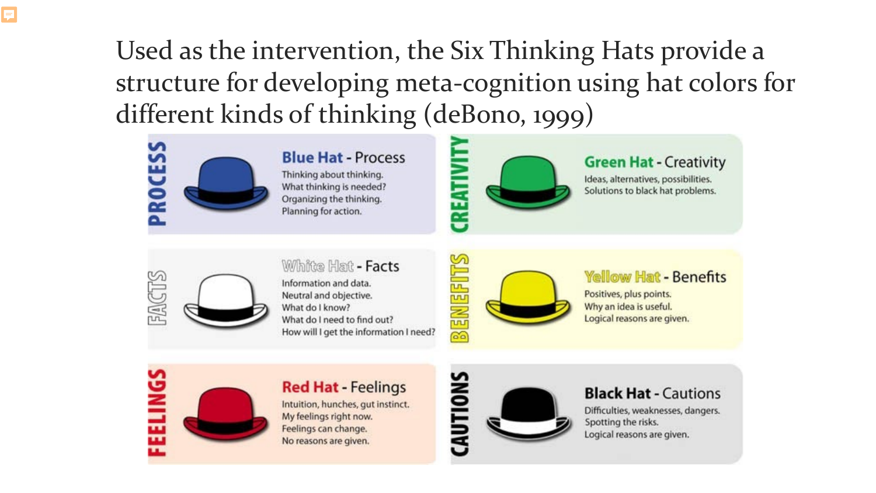## Used as the intervention, the Six Thinking Hats provide a structure for developing meta-cognition using hat colors for different kinds of thinking (deBono, 1999)



#### **Blue Hat - Process**

Thinking about thinking. What thinking is needed? Organizing the thinking. Planning for action.



#### **Green Hat - Creativity**

Ideas, alternatives, possibilities. Solutions to black hat problems.



#### White Hat - Facts

Information and data. Neutral and objective. What do I know? What do I need to find out? How will I get the information I need?



#### **Yellow Hat - Benefits**

Positives, plus points. Why an idea is useful. Logical reasons are given.

# ELINGS



#### **Red Hat - Feelings**

Intuition, hunches, gut instinct. My feelings right now. Feelings can change. No reasons are given.



#### **Black Hat - Cautions**

Difficulties, weaknesses, dangers. Spotting the risks. Logical reasons are given.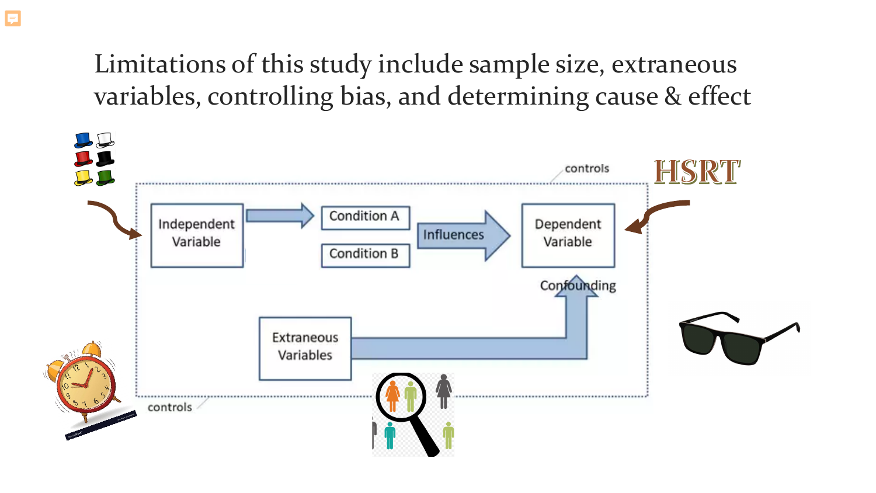### Limitations of this study include sample size, extraneous variables, controlling bias, and determining cause & effect